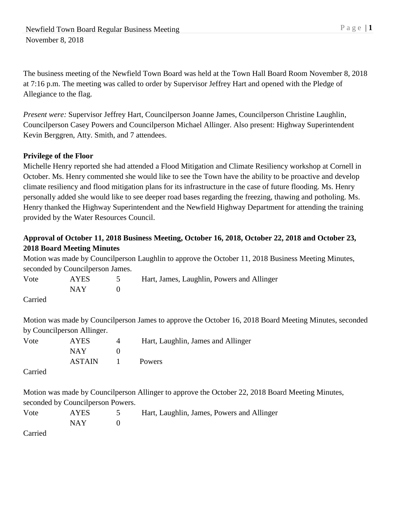The business meeting of the Newfield Town Board was held at the Town Hall Board Room November 8, 2018 at 7:16 p.m. The meeting was called to order by Supervisor Jeffrey Hart and opened with the Pledge of Allegiance to the flag.

*Present were:* Supervisor Jeffrey Hart, Councilperson Joanne James, Councilperson Christine Laughlin, Councilperson Casey Powers and Councilperson Michael Allinger. Also present: Highway Superintendent Kevin Berggren, Atty. Smith, and 7 attendees.

## **Privilege of the Floor**

Michelle Henry reported she had attended a Flood Mitigation and Climate Resiliency workshop at Cornell in October. Ms. Henry commented she would like to see the Town have the ability to be proactive and develop climate resiliency and flood mitigation plans for its infrastructure in the case of future flooding. Ms. Henry personally added she would like to see deeper road bases regarding the freezing, thawing and potholing. Ms. Henry thanked the Highway Superintendent and the Newfield Highway Department for attending the training provided by the Water Resources Council.

# **Approval of October 11, 2018 Business Meeting, October 16, 2018, October 22, 2018 and October 23, 2018 Board Meeting Minutes**

Motion was made by Councilperson Laughlin to approve the October 11, 2018 Business Meeting Minutes, seconded by Councilperson James.

| Vote                          | AYES | Hart, James, Laughlin, Powers and Allinger |
|-------------------------------|------|--------------------------------------------|
|                               | NAY. |                                            |
| $C$ <sub>amia</sub> $\lambda$ |      |                                            |

Carried

Motion was made by Councilperson James to approve the October 16, 2018 Board Meeting Minutes, seconded by Councilperson Allinger.

| Vote | <b>AYES</b>   | Hart, Laughlin, James and Allinger |
|------|---------------|------------------------------------|
|      | NAY.          |                                    |
|      | <b>ASTAIN</b> | <b>Powers</b>                      |

Carried

Motion was made by Councilperson Allinger to approve the October 22, 2018 Board Meeting Minutes, seconded by Councilperson Powers.

| Vote | <b>AYES</b> | Hart, Laughlin, James, Powers and Allinger |
|------|-------------|--------------------------------------------|
|      | <b>NAY</b>  |                                            |

Carried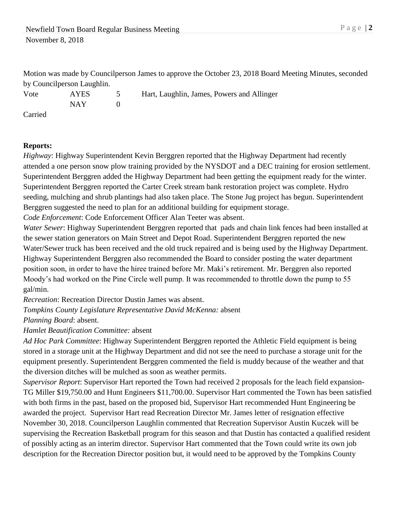Motion was made by Councilperson James to approve the October 23, 2018 Board Meeting Minutes, seconded by Councilperson Laughlin.

Vote AYES 5 Hart, Laughlin, James, Powers and Allinger NAY 0 Carried

# **Reports:**

*Highway*: Highway Superintendent Kevin Berggren reported that the Highway Department had recently attended a one person snow plow training provided by the NYSDOT and a DEC training for erosion settlement. Superintendent Berggren added the Highway Department had been getting the equipment ready for the winter. Superintendent Berggren reported the Carter Creek stream bank restoration project was complete. Hydro seeding, mulching and shrub plantings had also taken place. The Stone Jug project has begun. Superintendent Berggren suggested the need to plan for an additional building for equipment storage.

*Code Enforcement*: Code Enforcement Officer Alan Teeter was absent.

*Water Sewer*: Highway Superintendent Berggren reported that pads and chain link fences had been installed at the sewer station generators on Main Street and Depot Road. Superintendent Berggren reported the new Water/Sewer truck has been received and the old truck repaired and is being used by the Highway Department. Highway Superintendent Berggren also recommended the Board to consider posting the water department position soon, in order to have the hiree trained before Mr. Maki's retirement. Mr. Berggren also reported Moody's had worked on the Pine Circle well pump. It was recommended to throttle down the pump to 55 gal/min.

*Recreation*: Recreation Director Dustin James was absent.

*Tompkins County Legislature Representative David McKenna:* absent

*Planning Board*: absent.

*Hamlet Beautification Committee:* absent

*Ad Hoc Park Committee*: Highway Superintendent Berggren reported the Athletic Field equipment is being stored in a storage unit at the Highway Department and did not see the need to purchase a storage unit for the equipment presently. Superintendent Berggren commented the field is muddy because of the weather and that the diversion ditches will be mulched as soon as weather permits.

*Supervisor Report*: Supervisor Hart reported the Town had received 2 proposals for the leach field expansion-TG Miller \$19,750.00 and Hunt Engineers \$11,700.00. Supervisor Hart commented the Town has been satisfied with both firms in the past, based on the proposed bid, Supervisor Hart recommended Hunt Engineering be awarded the project. Supervisor Hart read Recreation Director Mr. James letter of resignation effective November 30, 2018. Councilperson Laughlin commented that Recreation Supervisor Austin Kuczek will be supervising the Recreation Basketball program for this season and that Dustin has contacted a qualified resident of possibly acting as an interim director. Supervisor Hart commented that the Town could write its own job description for the Recreation Director position but, it would need to be approved by the Tompkins County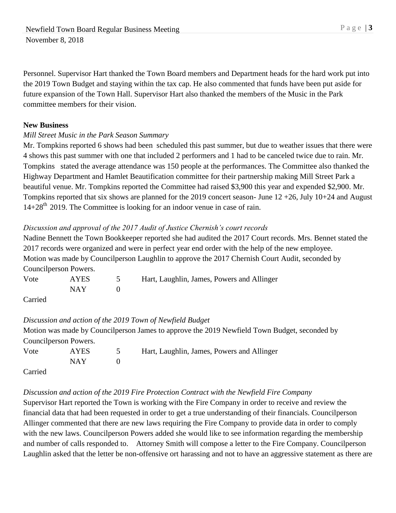Personnel. Supervisor Hart thanked the Town Board members and Department heads for the hard work put into the 2019 Town Budget and staying within the tax cap. He also commented that funds have been put aside for future expansion of the Town Hall. Supervisor Hart also thanked the members of the Music in the Park committee members for their vision.

#### **New Business**

#### *Mill Street Music in the Park Season Summary*

Mr. Tompkins reported 6 shows had been scheduled this past summer, but due to weather issues that there were 4 shows this past summer with one that included 2 performers and 1 had to be canceled twice due to rain. Mr. Tompkins stated the average attendance was 150 people at the performances. The Committee also thanked the Highway Department and Hamlet Beautification committee for their partnership making Mill Street Park a beautiful venue. Mr. Tompkins reported the Committee had raised \$3,900 this year and expended \$2,900. Mr. Tompkins reported that six shows are planned for the 2019 concert season- June 12 +26, July 10+24 and August 14+28<sup>th</sup> 2019. The Committee is looking for an indoor venue in case of rain.

#### *Discussion and approval of the 2017 Audit of Justice Chernish's court records*

Nadine Bennett the Town Bookkeeper reported she had audited the 2017 Court records. Mrs. Bennet stated the 2017 records were organized and were in perfect year end order with the help of the new employee. Motion was made by Councilperson Laughlin to approve the 2017 Chernish Court Audit, seconded by Councilperson Powers.

Vote AYES 5 Hart, Laughlin, James, Powers and Allinger  $NAY$  0

Carried

#### *Discussion and action of the 2019 Town of Newfield Budget*

Motion was made by Councilperson James to approve the 2019 Newfield Town Budget, seconded by Councilperson Powers. Vote AYES 5 Hart, Laughlin, James, Powers and Allinger  $NAY$  0

Carried

#### *Discussion and action of the 2019 Fire Protection Contract with the Newfield Fire Company*

Supervisor Hart reported the Town is working with the Fire Company in order to receive and review the financial data that had been requested in order to get a true understanding of their financials. Councilperson Allinger commented that there are new laws requiring the Fire Company to provide data in order to comply with the new laws. Councilperson Powers added she would like to see information regarding the membership and number of calls responded to. Attorney Smith will compose a letter to the Fire Company. Councilperson Laughlin asked that the letter be non-offensive ort harassing and not to have an aggressive statement as there are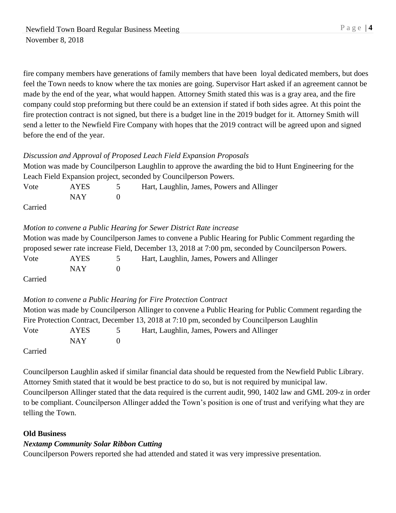fire company members have generations of family members that have been loyal dedicated members, but does feel the Town needs to know where the tax monies are going. Supervisor Hart asked if an agreement cannot be made by the end of the year, what would happen. Attorney Smith stated this was is a gray area, and the fire company could stop preforming but there could be an extension if stated if both sides agree. At this point the fire protection contract is not signed, but there is a budget line in the 2019 budget for it. Attorney Smith will send a letter to the Newfield Fire Company with hopes that the 2019 contract will be agreed upon and signed before the end of the year.

## *Discussion and Approval of Proposed Leach Field Expansion Proposals*

| Motion was made by Councilperson Laughlin to approve the awarding the bid to Hunt Engineering for the |
|-------------------------------------------------------------------------------------------------------|
| Leach Field Expansion project, seconded by Council person Powers.                                     |

| Vote    | <b>AYES</b> | Hart, Laughlin, James, Powers and Allinger |
|---------|-------------|--------------------------------------------|
|         | NAY 1       |                                            |
| Carried |             |                                            |

## *Motion to convene a Public Hearing for Sewer District Rate increase*

|                             |            |               | Motion was made by Council person James to convene a Public Hearing for Public Comment regarding the |
|-----------------------------|------------|---------------|------------------------------------------------------------------------------------------------------|
|                             |            |               | proposed sewer rate increase Field, December 13, 2018 at 7:00 pm, seconded by Council person Powers. |
| Vote                        | AYES.      | $\mathcal{L}$ | Hart, Laughlin, James, Powers and Allinger                                                           |
|                             | <b>NAY</b> |               |                                                                                                      |
| $\sim$ $\sim$ $\sim$ $\sim$ |            |               |                                                                                                      |

Carried

# *Motion to convene a Public Hearing for Fire Protection Contract*

|                           |            |                | Motion was made by Councilperson Allinger to convene a Public Hearing for Public Comment regarding the |
|---------------------------|------------|----------------|--------------------------------------------------------------------------------------------------------|
|                           |            |                | Fire Protection Contract, December 13, 2018 at 7:10 pm, seconded by Council person Laughlin            |
| Vote                      | AYES.      | $\overline{5}$ | Hart, Laughlin, James, Powers and Allinger                                                             |
|                           | <b>NAY</b> |                |                                                                                                        |
| $C_{\alpha \text{triad}}$ |            |                |                                                                                                        |

Carried

Councilperson Laughlin asked if similar financial data should be requested from the Newfield Public Library. Attorney Smith stated that it would be best practice to do so, but is not required by municipal law. Councilperson Allinger stated that the data required is the current audit, 990, 1402 law and GML 209-z in order to be compliant. Councilperson Allinger added the Town's position is one of trust and verifying what they are telling the Town.

#### **Old Business**

# *Nextamp Community Solar Ribbon Cutting*

Councilperson Powers reported she had attended and stated it was very impressive presentation.